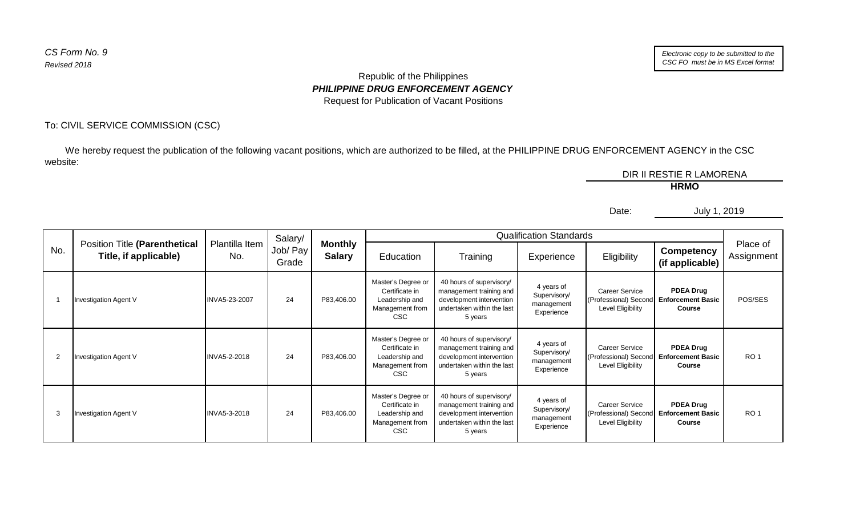## Republic of the Philippines *PHILIPPINE DRUG ENFORCEMENT AGENCY* Request for Publication of Vacant Positions

## To: CIVIL SERVICE COMMISSION (CSC)

 We hereby request the publication of the following vacant positions, which are authorized to be filled, at the PHILIPPINE DRUG ENFORCEMENT AGENCY in the CSC website:

DIR II RESTIE R LAMORENA **HRMO**

Date:

July 1, 2019

|                |                                                        |                       | Salary/           |                                 |                                                                                         |                                                                                                                          | <b>Qualification Standards</b>                         |                                                                    |                                                               |                        |
|----------------|--------------------------------------------------------|-----------------------|-------------------|---------------------------------|-----------------------------------------------------------------------------------------|--------------------------------------------------------------------------------------------------------------------------|--------------------------------------------------------|--------------------------------------------------------------------|---------------------------------------------------------------|------------------------|
| No.            | Position Title (Parenthetical<br>Title, if applicable) | Plantilla Item<br>No. | Job/ Pay<br>Grade | <b>Monthly</b><br><b>Salary</b> | Education                                                                               | Training                                                                                                                 | Experience                                             | Eligibility                                                        | <b>Competency</b><br>(if applicable)                          | Place of<br>Assignment |
|                | Investigation Agent V                                  | INVA5-23-2007         | 24                | P83,406.00                      | Master's Degree or<br>Certificate in<br>Leadership and<br>Management from<br>CSC        | 40 hours of supervisory/<br>management training and<br>development intervention<br>undertaken within the last<br>5 years | 4 years of<br>Supervisory/<br>management<br>Experience | <b>Career Service</b><br>(Professional) Secon<br>Level Eligibility | <b>PDEA Drug</b><br><b>Enforcement Basic</b><br><b>Course</b> | POS/SES                |
| $\overline{2}$ | <b>Investigation Agent V</b>                           | <b>INVA5-2-2018</b>   | 24                | P83,406.00                      | Master's Degree or<br>Certificate in<br>Leadership and<br>Management from<br>CSC        | 40 hours of supervisory/<br>management training and<br>development intervention<br>undertaken within the last<br>5 years | 4 years of<br>Supervisory/<br>management<br>Experience | <b>Career Service</b><br>(Professional) Secon<br>Level Eligibility | <b>PDEA Drug</b><br><b>Enforcement Basic</b><br>Course        | RO <sub>1</sub>        |
| 3              | <b>Investigation Agent V</b>                           | <b>INVA5-3-2018</b>   | 24                | P83,406.00                      | Master's Degree or<br>Certificate in<br>Leadership and<br>Management from<br><b>CSC</b> | 40 hours of supervisory/<br>management training and<br>development intervention<br>undertaken within the last<br>5 years | 4 years of<br>Supervisory/<br>management<br>Experience | <b>Career Service</b><br>(Professional) Secon<br>Level Eligibility | <b>PDEA Drug</b><br><b>Enforcement Basic</b><br>Course        | RO <sub>1</sub>        |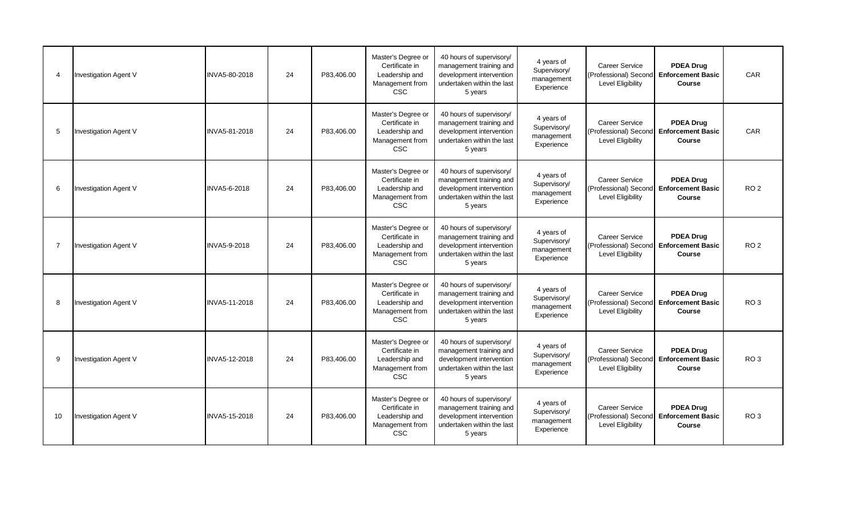| -4 | Investigation Agent V        | INVA5-80-2018       | 24 | P83.406.00 | Master's Degree or<br>Certificate in<br>Leadership and<br>Management from<br><b>CSC</b> | 40 hours of supervisory/<br>management training and<br>development intervention<br>undertaken within the last<br>5 years | 4 years of<br>Supervisory/<br>management<br>Experience | Career Service<br>(Professional) Second Enforcement Basic<br><b>Level Eligibility</b> | <b>PDEA Drug</b><br>Course                                            | CAR             |
|----|------------------------------|---------------------|----|------------|-----------------------------------------------------------------------------------------|--------------------------------------------------------------------------------------------------------------------------|--------------------------------------------------------|---------------------------------------------------------------------------------------|-----------------------------------------------------------------------|-----------------|
| 5  | <b>Investigation Agent V</b> | INVA5-81-2018       | 24 | P83,406.00 | Master's Degree or<br>Certificate in<br>Leadership and<br>Management from<br><b>CSC</b> | 40 hours of supervisory/<br>management training and<br>development intervention<br>undertaken within the last<br>5 years | 4 years of<br>Supervisory/<br>management<br>Experience | <b>Career Service</b><br>(Professional) Second Enforcement Basic<br>Level Eligibility | <b>PDEA Drug</b><br>Course                                            | <b>CAR</b>      |
| 6  | Investigation Agent V        | INVA5-6-2018        | 24 | P83,406.00 | Master's Degree or<br>Certificate in<br>Leadership and<br>Management from<br><b>CSC</b> | 40 hours of supervisory/<br>management training and<br>development intervention<br>undertaken within the last<br>5 years | 4 years of<br>Supervisory/<br>management<br>Experience | <b>Career Service</b><br>Level Eligibility                                            | <b>PDEA Drug</b><br>(Professional) Second Enforcement Basic<br>Course | RO <sub>2</sub> |
| -7 | Investigation Agent V        | <b>INVA5-9-2018</b> | 24 | P83.406.00 | Master's Degree or<br>Certificate in<br>Leadership and<br>Management from<br><b>CSC</b> | 40 hours of supervisory/<br>management training and<br>development intervention<br>undertaken within the last<br>5 years | 4 years of<br>Supervisory/<br>management<br>Experience | <b>Career Service</b><br>(Professional) Second Enforcement Basic<br>Level Eligibility | <b>PDEA Drug</b><br>Course                                            | RO <sub>2</sub> |
| -8 | <b>Investigation Agent V</b> | INVA5-11-2018       | 24 | P83,406.00 | Master's Degree or<br>Certificate in<br>Leadership and<br>Management from<br><b>CSC</b> | 40 hours of supervisory/<br>management training and<br>development intervention<br>undertaken within the last<br>5 years | 4 years of<br>Supervisory/<br>management<br>Experience | Career Service<br>(Professional) Second Enforcement Basic<br><b>Level Eligibility</b> | <b>PDEA Drug</b><br>Course                                            | RO <sub>3</sub> |
| 9  | Investigation Agent V        | INVA5-12-2018       | 24 | P83.406.00 | Master's Degree or<br>Certificate in<br>Leadership and<br>Management from<br><b>CSC</b> | 40 hours of supervisory/<br>management training and<br>development intervention<br>undertaken within the last<br>5 years | 4 years of<br>Supervisory/<br>management<br>Experience | <b>Career Service</b><br>Level Eligibility                                            | <b>PDEA Drug</b><br>(Professional) Second Enforcement Basic<br>Course | RO <sub>3</sub> |
| 10 | Investigation Agent V        | INVA5-15-2018       | 24 | P83,406.00 | Master's Degree or<br>Certificate in<br>Leadership and<br>Management from<br><b>CSC</b> | 40 hours of supervisory/<br>management training and<br>development intervention<br>undertaken within the last<br>5 years | 4 years of<br>Supervisory/<br>management<br>Experience | Career Service<br>(Professional) Second Enforcement Basic<br><b>Level Eligibility</b> | <b>PDEA Drug</b><br>Course                                            | RO <sub>3</sub> |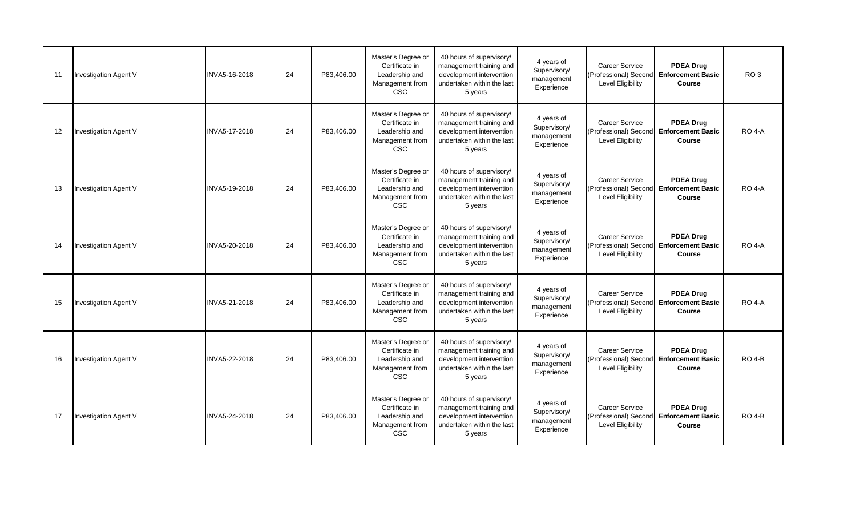| 11 | Investigation Agent V        | INVA5-16-2018 | 24 | P83.406.00 | Master's Degree or<br>Certificate in<br>Leadership and<br>Management from<br><b>CSC</b> | 40 hours of supervisory/<br>management training and<br>development intervention<br>undertaken within the last<br>5 years | 4 years of<br>Supervisory/<br>management<br>Experience | Career Service<br>(Professional) Second Enforcement Basic<br><b>Level Eligibility</b> | <b>PDEA Drug</b><br>Course                                            | RO <sub>3</sub> |
|----|------------------------------|---------------|----|------------|-----------------------------------------------------------------------------------------|--------------------------------------------------------------------------------------------------------------------------|--------------------------------------------------------|---------------------------------------------------------------------------------------|-----------------------------------------------------------------------|-----------------|
| 12 | Investigation Agent V        | INVA5-17-2018 | 24 | P83,406.00 | Master's Degree or<br>Certificate in<br>Leadership and<br>Management from<br><b>CSC</b> | 40 hours of supervisory/<br>management training and<br>development intervention<br>undertaken within the last<br>5 years | 4 years of<br>Supervisory/<br>management<br>Experience | <b>Career Service</b><br>(Professional) Second Enforcement Basic<br>Level Eligibility | <b>PDEA Drug</b><br>Course                                            | <b>RO 4-A</b>   |
| 13 | Investigation Agent V        | INVA5-19-2018 | 24 | P83,406.00 | Master's Degree or<br>Certificate in<br>Leadership and<br>Management from<br><b>CSC</b> | 40 hours of supervisory/<br>management training and<br>development intervention<br>undertaken within the last<br>5 years | 4 years of<br>Supervisory/<br>management<br>Experience | <b>Career Service</b><br>Level Eligibility                                            | <b>PDEA Drug</b><br>(Professional) Second Enforcement Basic<br>Course | <b>RO 4-A</b>   |
| 14 | Investigation Agent V        | INVA5-20-2018 | 24 | P83.406.00 | Master's Degree or<br>Certificate in<br>Leadership and<br>Management from<br><b>CSC</b> | 40 hours of supervisory/<br>management training and<br>development intervention<br>undertaken within the last<br>5 years | 4 years of<br>Supervisory/<br>management<br>Experience | <b>Career Service</b><br>(Professional) Second Enforcement Basic<br>Level Eligibility | <b>PDEA Drug</b><br>Course                                            | <b>RO 4-A</b>   |
| 15 | <b>Investigation Agent V</b> | INVA5-21-2018 | 24 | P83,406.00 | Master's Degree or<br>Certificate in<br>Leadership and<br>Management from<br><b>CSC</b> | 40 hours of supervisory/<br>management training and<br>development intervention<br>undertaken within the last<br>5 years | 4 years of<br>Supervisory/<br>management<br>Experience | Career Service<br>(Professional) Second Enforcement Basic<br><b>Level Eligibility</b> | <b>PDEA Drug</b><br>Course                                            | <b>RO 4-A</b>   |
| 16 | Investigation Agent V        | INVA5-22-2018 | 24 | P83.406.00 | Master's Degree or<br>Certificate in<br>Leadership and<br>Management from<br><b>CSC</b> | 40 hours of supervisory/<br>management training and<br>development intervention<br>undertaken within the last<br>5 years | 4 years of<br>Supervisory/<br>management<br>Experience | <b>Career Service</b><br>Level Eligibility                                            | <b>PDEA Drug</b><br>(Professional) Second Enforcement Basic<br>Course | $RO$ 4-B        |
| 17 | Investigation Agent V        | INVA5-24-2018 | 24 | P83,406.00 | Master's Degree or<br>Certificate in<br>Leadership and<br>Management from<br><b>CSC</b> | 40 hours of supervisory/<br>management training and<br>development intervention<br>undertaken within the last<br>5 years | 4 years of<br>Supervisory/<br>management<br>Experience | Career Service<br>(Professional) Second Enforcement Basic<br><b>Level Eligibility</b> | <b>PDEA Drug</b><br>Course                                            | <b>RO 4-B</b>   |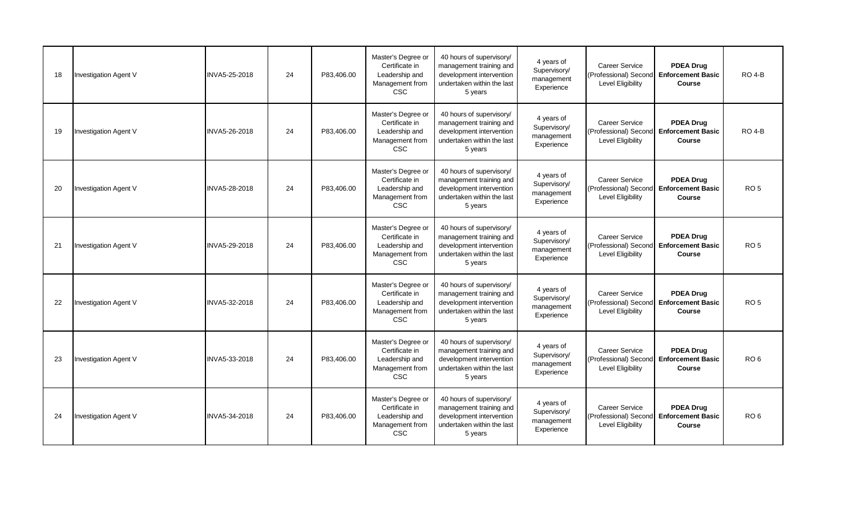| 18 | <b>Investigation Agent V</b> | INVA5-25-2018 | 24 | P83.406.00 | Master's Degree or<br>Certificate in<br>Leadership and<br>Management from<br><b>CSC</b> | 40 hours of supervisory/<br>management training and<br>development intervention<br>undertaken within the last<br>5 years | 4 years of<br>Supervisory/<br>management<br>Experience | <b>Career Service</b><br>(Professional) Second<br>Level Eligibility | <b>PDEA Drug</b><br><b>Enforcement Basic</b><br>Course        | $RO$ 4-B           |
|----|------------------------------|---------------|----|------------|-----------------------------------------------------------------------------------------|--------------------------------------------------------------------------------------------------------------------------|--------------------------------------------------------|---------------------------------------------------------------------|---------------------------------------------------------------|--------------------|
| 19 | <b>Investigation Agent V</b> | INVA5-26-2018 | 24 | P83,406.00 | Master's Degree or<br>Certificate in<br>Leadership and<br>Management from<br><b>CSC</b> | 40 hours of supervisory/<br>management training and<br>development intervention<br>undertaken within the last<br>5 years | 4 years of<br>Supervisory/<br>management<br>Experience | <b>Career Service</b><br>(Professional) Second<br>Level Eligibility | <b>PDEA Drug</b><br><b>Enforcement Basic</b><br><b>Course</b> | RO <sub>4-</sub> B |
| 20 | <b>Investigation Agent V</b> | INVA5-28-2018 | 24 | P83,406.00 | Master's Degree or<br>Certificate in<br>Leadership and<br>Management from<br><b>CSC</b> | 40 hours of supervisory/<br>management training and<br>development intervention<br>undertaken within the last<br>5 years | 4 years of<br>Supervisory/<br>management<br>Experience | <b>Career Service</b><br>(Professional) Second<br>Level Eligibility | <b>PDEA Drug</b><br><b>Enforcement Basic</b><br>Course        | RO <sub>5</sub>    |
| 21 | <b>Investigation Agent V</b> | INVA5-29-2018 | 24 | P83.406.00 | Master's Degree or<br>Certificate in<br>Leadership and<br>Management from<br><b>CSC</b> | 40 hours of supervisory/<br>management training and<br>development intervention<br>undertaken within the last<br>5 years | 4 years of<br>Supervisory/<br>management<br>Experience | <b>Career Service</b><br>(Professional) Second<br>Level Eligibility | <b>PDEA Drug</b><br><b>Enforcement Basic</b><br>Course        | RO <sub>5</sub>    |
| 22 | <b>Investigation Agent V</b> | INVA5-32-2018 | 24 | P83,406.00 | Master's Degree or<br>Certificate in<br>Leadership and<br>Management from<br><b>CSC</b> | 40 hours of supervisory/<br>management training and<br>development intervention<br>undertaken within the last<br>5 years | 4 years of<br>Supervisory/<br>management<br>Experience | Career Service<br>(Professional) Second<br>Level Eligibility        | <b>PDEA Drug</b><br><b>Enforcement Basic</b><br>Course        | RO <sub>5</sub>    |
| 23 | <b>Investigation Agent V</b> | INVA5-33-2018 | 24 | P83.406.00 | Master's Degree or<br>Certificate in<br>Leadership and<br>Management from<br><b>CSC</b> | 40 hours of supervisory/<br>management training and<br>development intervention<br>undertaken within the last<br>5 years | 4 years of<br>Supervisory/<br>management<br>Experience | <b>Career Service</b><br>(Professional) Second<br>Level Eligibility | <b>PDEA Drug</b><br><b>Enforcement Basic</b><br>Course        | RO <sub>6</sub>    |
| 24 | <b>Investigation Agent V</b> | INVA5-34-2018 | 24 | P83,406.00 | Master's Degree or<br>Certificate in<br>Leadership and<br>Management from<br><b>CSC</b> | 40 hours of supervisory/<br>management training and<br>development intervention<br>undertaken within the last<br>5 years | 4 years of<br>Supervisory/<br>management<br>Experience | <b>Career Service</b><br>(Professional) Second<br>Level Eligibility | <b>PDEA Drug</b><br><b>Enforcement Basic</b><br>Course        | RO <sub>6</sub>    |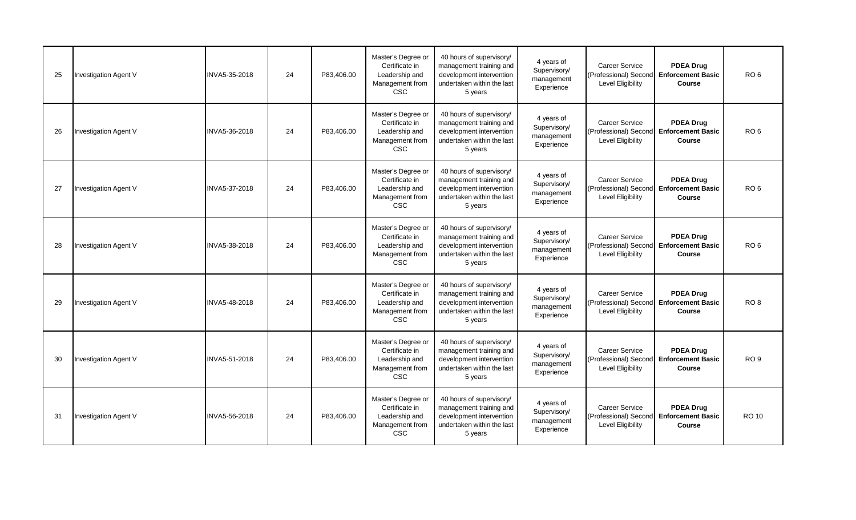| 25 | <b>Investigation Agent V</b> | INVA5-35-2018 | 24 | P83.406.00 | Master's Degree or<br>Certificate in<br>Leadership and<br>Management from<br><b>CSC</b> | 40 hours of supervisory/<br>management training and<br>development intervention<br>undertaken within the last<br>5 years | 4 years of<br>Supervisory/<br>management<br>Experience | <b>Career Service</b><br>(Professional) Second<br>Level Eligibility        | <b>PDEA Drug</b><br><b>Enforcement Basic</b><br>Course        | RO <sub>6</sub> |
|----|------------------------------|---------------|----|------------|-----------------------------------------------------------------------------------------|--------------------------------------------------------------------------------------------------------------------------|--------------------------------------------------------|----------------------------------------------------------------------------|---------------------------------------------------------------|-----------------|
| 26 | <b>Investigation Agent V</b> | INVA5-36-2018 | 24 | P83,406.00 | Master's Degree or<br>Certificate in<br>Leadership and<br>Management from<br><b>CSC</b> | 40 hours of supervisory/<br>management training and<br>development intervention<br>undertaken within the last<br>5 years | 4 years of<br>Supervisory/<br>management<br>Experience | <b>Career Service</b><br>(Professional) Second<br>Level Eligibility        | <b>PDEA Drug</b><br><b>Enforcement Basic</b><br><b>Course</b> | RO <sub>6</sub> |
| 27 | <b>Investigation Agent V</b> | INVA5-37-2018 | 24 | P83,406.00 | Master's Degree or<br>Certificate in<br>Leadership and<br>Management from<br><b>CSC</b> | 40 hours of supervisory/<br>management training and<br>development intervention<br>undertaken within the last<br>5 years | 4 years of<br>Supervisory/<br>management<br>Experience | <b>Career Service</b><br>(Professional) Second<br>Level Eligibility        | <b>PDEA Drug</b><br><b>Enforcement Basic</b><br>Course        | RO <sub>6</sub> |
| 28 | <b>Investigation Agent V</b> | INVA5-38-2018 | 24 | P83.406.00 | Master's Degree or<br>Certificate in<br>Leadership and<br>Management from<br><b>CSC</b> | 40 hours of supervisory/<br>management training and<br>development intervention<br>undertaken within the last<br>5 years | 4 years of<br>Supervisory/<br>management<br>Experience | <b>Career Service</b><br>(Professional) Second<br>Level Eligibility        | <b>PDEA Drug</b><br><b>Enforcement Basic</b><br>Course        | RO <sub>6</sub> |
| 29 | <b>Investigation Agent V</b> | INVA5-48-2018 | 24 | P83,406.00 | Master's Degree or<br>Certificate in<br>Leadership and<br>Management from<br><b>CSC</b> | 40 hours of supervisory/<br>management training and<br>development intervention<br>undertaken within the last<br>5 years | 4 years of<br>Supervisory/<br>management<br>Experience | Career Service<br>(Professional) Second<br>Level Eligibility               | <b>PDEA Drug</b><br><b>Enforcement Basic</b><br>Course        | RO <sub>8</sub> |
| 30 | <b>Investigation Agent V</b> | INVA5-51-2018 | 24 | P83.406.00 | Master's Degree or<br>Certificate in<br>Leadership and<br>Management from<br><b>CSC</b> | 40 hours of supervisory/<br>management training and<br>development intervention<br>undertaken within the last<br>5 years | 4 years of<br>Supervisory/<br>management<br>Experience | <b>Career Service</b><br>(Professional) Second<br><b>Level Eligibility</b> | <b>PDEA Drug</b><br><b>Enforcement Basic</b><br>Course        | RO <sub>9</sub> |
| 31 | <b>Investigation Agent V</b> | INVA5-56-2018 | 24 | P83,406.00 | Master's Degree or<br>Certificate in<br>Leadership and<br>Management from<br><b>CSC</b> | 40 hours of supervisory/<br>management training and<br>development intervention<br>undertaken within the last<br>5 years | 4 years of<br>Supervisory/<br>management<br>Experience | <b>Career Service</b><br>(Professional) Second<br><b>Level Eligibility</b> | <b>PDEA Drug</b><br><b>Enforcement Basic</b><br>Course        | <b>RO 10</b>    |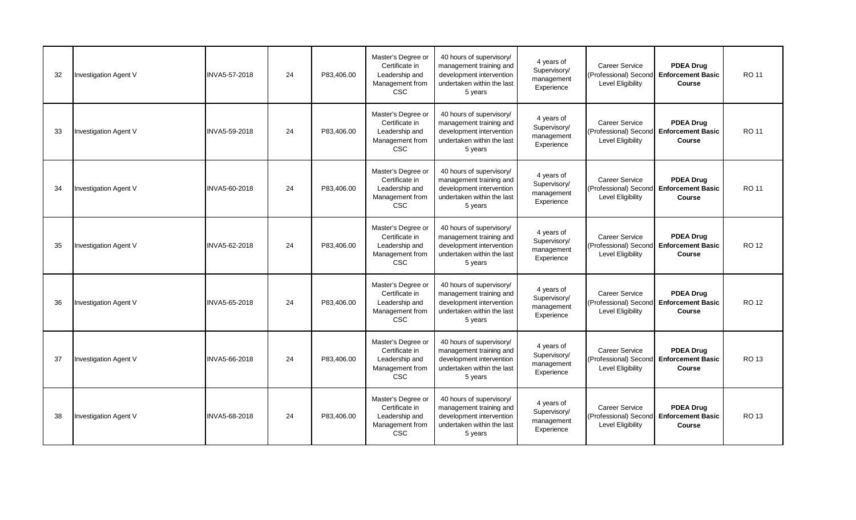| 32 | <b>Investigation Agent V</b> | INVA5-57-2018 | 24 | P83.406.00 | Master's Degree or<br>Certificate in<br>Leadership and<br>Management from<br><b>CSC</b> | 40 hours of supervisory/<br>management training and<br>development intervention<br>undertaken within the last<br>5 years | 4 years of<br>Supervisory/<br>management<br>Experience | <b>Career Service</b><br>(Professional) Second<br><b>Level Eligibility</b> | <b>PDEA Drug</b><br><b>Enforcement Basic</b><br>Course        | RO 11        |
|----|------------------------------|---------------|----|------------|-----------------------------------------------------------------------------------------|--------------------------------------------------------------------------------------------------------------------------|--------------------------------------------------------|----------------------------------------------------------------------------|---------------------------------------------------------------|--------------|
| 33 | <b>Investigation Agent V</b> | INVA5-59-2018 | 24 | P83,406.00 | Master's Degree or<br>Certificate in<br>Leadership and<br>Management from<br><b>CSC</b> | 40 hours of supervisory/<br>management training and<br>development intervention<br>undertaken within the last<br>5 years | 4 years of<br>Supervisory/<br>management<br>Experience | <b>Career Service</b><br>(Professional) Second<br><b>Level Eligibility</b> | <b>PDEA Drug</b><br><b>Enforcement Basic</b><br><b>Course</b> | RO 11        |
| 34 | <b>Investigation Agent V</b> | INVA5-60-2018 | 24 | P83,406.00 | Master's Degree or<br>Certificate in<br>Leadership and<br>Management from<br><b>CSC</b> | 40 hours of supervisory/<br>management training and<br>development intervention<br>undertaken within the last<br>5 years | 4 years of<br>Supervisory/<br>management<br>Experience | <b>Career Service</b><br>(Professional) Second<br>Level Eligibility        | <b>PDEA Drug</b><br><b>Enforcement Basic</b><br>Course        | RO 11        |
| 35 | <b>Investigation Agent V</b> | INVA5-62-2018 | 24 | P83.406.00 | Master's Degree or<br>Certificate in<br>Leadership and<br>Management from<br><b>CSC</b> | 40 hours of supervisory/<br>management training and<br>development intervention<br>undertaken within the last<br>5 years | 4 years of<br>Supervisory/<br>management<br>Experience | <b>Career Service</b><br>(Professional) Second<br><b>Level Eligibility</b> | <b>PDEA Drug</b><br><b>Enforcement Basic</b><br>Course        | <b>RO 12</b> |
| 36 | <b>Investigation Agent V</b> | INVA5-65-2018 | 24 | P83,406.00 | Master's Degree or<br>Certificate in<br>Leadership and<br>Management from<br><b>CSC</b> | 40 hours of supervisory/<br>management training and<br>development intervention<br>undertaken within the last<br>5 years | 4 years of<br>Supervisory/<br>management<br>Experience | Career Service<br>(Professional) Second<br>Level Eligibility               | <b>PDEA Drug</b><br><b>Enforcement Basic</b><br>Course        | <b>RO 12</b> |
| 37 | <b>Investigation Agent V</b> | INVA5-66-2018 | 24 | P83.406.00 | Master's Degree or<br>Certificate in<br>Leadership and<br>Management from<br><b>CSC</b> | 40 hours of supervisory/<br>management training and<br>development intervention<br>undertaken within the last<br>5 years | 4 years of<br>Supervisory/<br>management<br>Experience | <b>Career Service</b><br>(Professional) Second<br><b>Level Eligibility</b> | <b>PDEA Drug</b><br><b>Enforcement Basic</b><br>Course        | RO 13        |
| 38 | <b>Investigation Agent V</b> | INVA5-68-2018 | 24 | P83,406.00 | Master's Degree or<br>Certificate in<br>Leadership and<br>Management from<br><b>CSC</b> | 40 hours of supervisory/<br>management training and<br>development intervention<br>undertaken within the last<br>5 years | 4 years of<br>Supervisory/<br>management<br>Experience | <b>Career Service</b><br>(Professional) Second<br><b>Level Eligibility</b> | <b>PDEA Drug</b><br><b>Enforcement Basic</b><br>Course        | <b>RO 13</b> |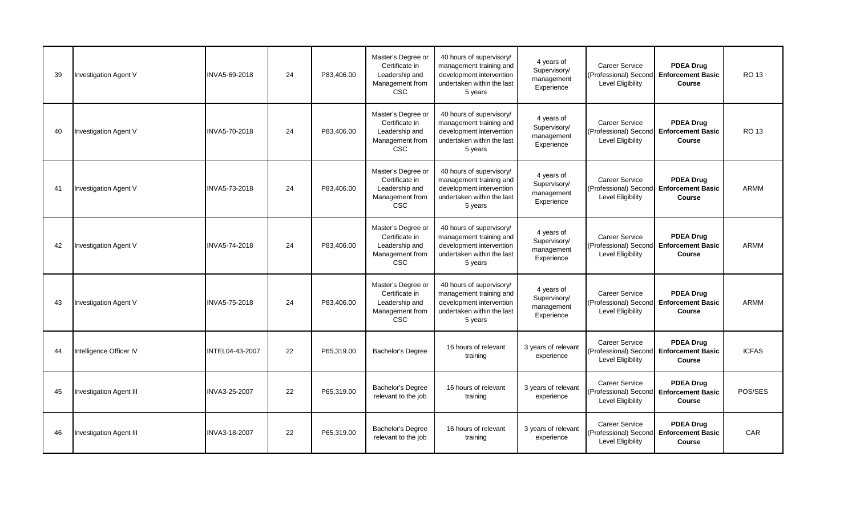| 39 | <b>Investigation Agent V</b>   | INVA5-69-2018        | 24 | P83,406.00 | Master's Degree or<br>Certificate in<br>Leadership and<br>Management from<br><b>CSC</b> | 40 hours of supervisory/<br>management training and<br>development intervention<br>undertaken within the last<br>5 years | 4 years of<br>Supervisory/<br>management<br>Experience | <b>Career Service</b><br>(Professional) Second<br><b>Level Eligibility</b> | <b>PDEA Drug</b><br><b>Enforcement Basic</b><br>Course        | <b>RO 13</b> |
|----|--------------------------------|----------------------|----|------------|-----------------------------------------------------------------------------------------|--------------------------------------------------------------------------------------------------------------------------|--------------------------------------------------------|----------------------------------------------------------------------------|---------------------------------------------------------------|--------------|
| 40 | Investigation Agent V          | <b>INVA5-70-2018</b> | 24 | P83.406.00 | Master's Degree or<br>Certificate in<br>Leadership and<br>Management from<br><b>CSC</b> | 40 hours of supervisory/<br>management training and<br>development intervention<br>undertaken within the last<br>5 years | 4 years of<br>Supervisory/<br>management<br>Experience | Career Service<br>(Professional) Second<br>Level Eligibility               | <b>PDEA Drug</b><br><b>Enforcement Basic</b><br>Course        | <b>RO 13</b> |
| 41 | <b>Investigation Agent V</b>   | <b>INVA5-73-2018</b> | 24 | P83.406.00 | Master's Degree or<br>Certificate in<br>Leadership and<br>Management from<br><b>CSC</b> | 40 hours of supervisory/<br>management training and<br>development intervention<br>undertaken within the last<br>5 years | 4 years of<br>Supervisory/<br>management<br>Experience | Career Service<br>(Professional) Second<br><b>Level Eligibility</b>        | <b>PDEA Drug</b><br><b>Enforcement Basic</b><br>Course        | ARMM         |
| 42 | <b>Investigation Agent V</b>   | <b>INVA5-74-2018</b> | 24 | P83.406.00 | Master's Degree or<br>Certificate in<br>Leadership and<br>Management from<br><b>CSC</b> | 40 hours of supervisory/<br>management training and<br>development intervention<br>undertaken within the last<br>5 years | 4 years of<br>Supervisory/<br>management<br>Experience | <b>Career Service</b><br>(Professional) Second<br><b>Level Eligibility</b> | <b>PDEA Drug</b><br><b>Enforcement Basic</b><br>Course        | <b>ARMM</b>  |
| 43 | <b>Investigation Agent V</b>   | <b>INVA5-75-2018</b> | 24 | P83.406.00 | Master's Degree or<br>Certificate in<br>Leadership and<br>Management from<br><b>CSC</b> | 40 hours of supervisory/<br>management training and<br>development intervention<br>undertaken within the last<br>5 years | 4 years of<br>Supervisory/<br>management<br>Experience | <b>Career Service</b><br>(Professional) Second<br>Level Eligibility        | <b>PDEA Drug</b><br><b>Enforcement Basic</b><br><b>Course</b> | <b>ARMM</b>  |
| 44 | Intelligence Officer IV        | INTEL04-43-2007      | 22 | P65,319.00 | Bachelor's Degree                                                                       | 16 hours of relevant<br>training                                                                                         | 3 years of relevant<br>experience                      | Career Service<br>(Professional) Second<br>Level Eligibility               | <b>PDEA Drug</b><br><b>Enforcement Basic</b><br>Course        | <b>ICFAS</b> |
| 45 | <b>Investigation Agent III</b> | INVA3-25-2007        | 22 | P65.319.00 | Bachelor's Degree<br>relevant to the job                                                | 16 hours of relevant<br>training                                                                                         | 3 years of relevant<br>experience                      | <b>Career Service</b><br>(Professional) Second<br><b>Level Eligibility</b> | <b>PDEA Drug</b><br><b>Enforcement Basic</b><br>Course        | POS/SES      |
| 46 | Investigation Agent III        | INVA3-18-2007        | 22 | P65.319.00 | Bachelor's Degree<br>relevant to the job                                                | 16 hours of relevant<br>training                                                                                         | 3 years of relevant<br>experience                      | Career Service<br>(Professional) Second<br>Level Eligibility               | <b>PDEA Drug</b><br><b>Enforcement Basic</b><br>Course        | <b>CAR</b>   |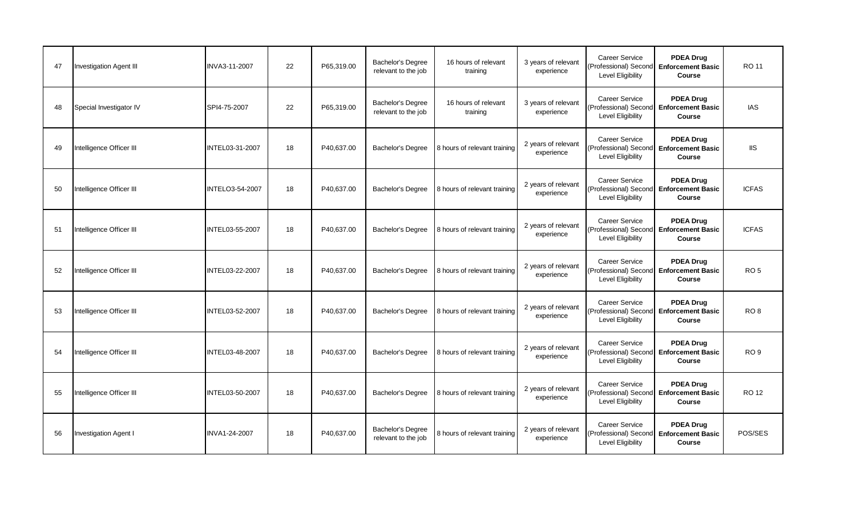| 47 | <b>Investigation Agent III</b> | INVA3-11-2007          | 22 | P65.319.00 | <b>Bachelor's Degree</b><br>relevant to the job | 16 hours of relevant<br>training | 3 years of relevant<br>experience | <b>Career Service</b><br>(Professional) Second Enforcement Basic<br>Level Eligibility | <b>PDEA Drug</b><br>Course                                            | RO 11           |
|----|--------------------------------|------------------------|----|------------|-------------------------------------------------|----------------------------------|-----------------------------------|---------------------------------------------------------------------------------------|-----------------------------------------------------------------------|-----------------|
| 48 | Special Investigator IV        | SPI4-75-2007           | 22 | P65.319.00 | Bachelor's Degree<br>relevant to the job        | 16 hours of relevant<br>training | 3 years of relevant<br>experience | <b>Career Service</b><br>(Professional) Second Enforcement Basic<br>Level Eligibility | <b>PDEA Drug</b><br>Course                                            | <b>IAS</b>      |
| 49 | Intelligence Officer III       | INTEL03-31-2007        | 18 | P40,637.00 | <b>Bachelor's Degree</b>                        | 8 hours of relevant training     | 2 years of relevant<br>experience | <b>Career Service</b><br>(Professional) Second Enforcement Basic<br>Level Eligibility | <b>PDEA Drug</b><br>Course                                            | <b>IIS</b>      |
| 50 | Intelligence Officer III       | <b>INTELO3-54-2007</b> | 18 | P40,637.00 | <b>Bachelor's Degree</b>                        | 8 hours of relevant training     | 2 years of relevant<br>experience | <b>Career Service</b><br>Level Eligibility                                            | <b>PDEA Drug</b><br>(Professional) Second Enforcement Basic<br>Course | <b>ICFAS</b>    |
| 51 | Intelligence Officer III       | <b>INTEL03-55-2007</b> | 18 | P40.637.00 | Bachelor's Degree                               | 8 hours of relevant training     | 2 years of relevant<br>experience | <b>Career Service</b><br>(Professional) Second Enforcement Basic<br>Level Eligibility | <b>PDEA Drug</b><br>Course                                            | <b>ICFAS</b>    |
| 52 | Intelligence Officer III       | INTEL03-22-2007        | 18 | P40.637.00 | <b>Bachelor's Degree</b>                        | 8 hours of relevant training     | 2 years of relevant<br>experience | <b>Career Service</b><br>Level Eligibility                                            | <b>PDEA Drug</b><br>(Professional) Second Enforcement Basic<br>Course | RO <sub>5</sub> |
| 53 | Intelligence Officer III       | INTEL03-52-2007        | 18 | P40,637.00 | Bachelor's Degree                               | 8 hours of relevant training     | 2 years of relevant<br>experience | Career Service<br>(Professional) Second Enforcement Basic<br>Level Eligibility        | <b>PDEA Drug</b><br>Course                                            | RO <sub>8</sub> |
| 54 | Intelligence Officer III       | INTEL03-48-2007        | 18 | P40,637.00 | <b>Bachelor's Degree</b>                        | 8 hours of relevant training     | 2 years of relevant<br>experience | Career Service<br>(Professional) Second Enforcement Basic<br>Level Eligibility        | <b>PDEA Drug</b><br>Course                                            | RO <sub>9</sub> |
| 55 | Intelligence Officer III       | INTEL03-50-2007        | 18 | P40.637.00 | Bachelor's Degree                               | 8 hours of relevant training     | 2 years of relevant<br>experience | <b>Career Service</b><br>Level Eligibility                                            | <b>PDEA Drug</b><br>Professional) Second Enforcement Basic<br>Course  | <b>RO 12</b>    |
| 56 | <b>Investigation Agent I</b>   | INVA1-24-2007          | 18 | P40,637.00 | Bachelor's Degree<br>relevant to the job        | 8 hours of relevant training     | 2 years of relevant<br>experience | <b>Career Service</b><br>(Professional) Second Enforcement Basic<br>Level Eligibility | <b>PDEA Drug</b><br>Course                                            | POS/SES         |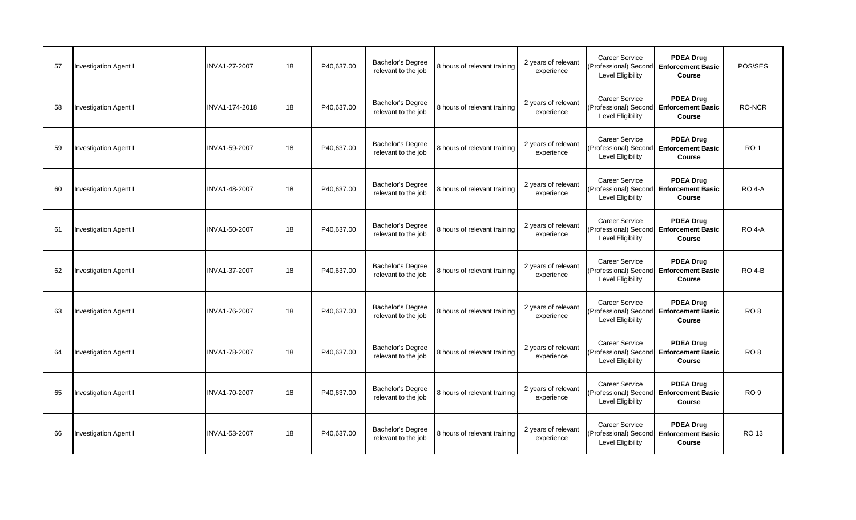| 57 | <b>Investigation Agent I</b> | INVA1-27-2007        | 18 | P40,637.00 | Bachelor's Degree<br>relevant to the job        | 8 hours of relevant training | 2 years of relevant<br>experience | Career Service<br>(Professional) Second Enforcement Basic<br><b>Level Eligibility</b>        | <b>PDEA Drug</b><br>Course                             | POS/SES         |
|----|------------------------------|----------------------|----|------------|-------------------------------------------------|------------------------------|-----------------------------------|----------------------------------------------------------------------------------------------|--------------------------------------------------------|-----------------|
| 58 | Investigation Agent I        | INVA1-174-2018       | 18 | P40.637.00 | <b>Bachelor's Degree</b><br>relevant to the job | 8 hours of relevant training | 2 years of relevant<br>experience | <b>Career Service</b><br>(Professional) Second<br><b>Level Eligibility</b>                   | <b>PDEA Drug</b><br><b>Enforcement Basic</b><br>Course | <b>RO-NCR</b>   |
| 59 | <b>Investigation Agent I</b> | INVA1-59-2007        | 18 | P40,637.00 | <b>Bachelor's Degree</b><br>relevant to the job | 8 hours of relevant training | 2 years of relevant<br>experience | <b>Career Service</b><br>(Professional) Second Enforcement Basic<br><b>Level Eligibility</b> | <b>PDEA Drug</b><br>Course                             | RO <sub>1</sub> |
| 60 | <b>Investigation Agent I</b> | INVA1-48-2007        | 18 | P40,637.00 | <b>Bachelor's Degree</b><br>relevant to the job | 8 hours of relevant training | 2 years of relevant<br>experience | <b>Career Service</b><br>(Professional) Second<br><b>Level Eligibility</b>                   | <b>PDEA Drug</b><br><b>Enforcement Basic</b><br>Course | <b>RO 4-A</b>   |
| 61 | <b>Investigation Agent I</b> | INVA1-50-2007        | 18 | P40,637.00 | Bachelor's Degree<br>relevant to the job        | 8 hours of relevant training | 2 years of relevant<br>experience | Career Service<br>(Professional) Second Enforcement Basic<br><b>Level Eligibility</b>        | <b>PDEA Drug</b><br>Course                             | <b>RO 4-A</b>   |
| 62 | <b>Investigation Agent I</b> | INVA1-37-2007        | 18 | P40.637.00 | <b>Bachelor's Degree</b><br>relevant to the job | 8 hours of relevant training | 2 years of relevant<br>experience | <b>Career Service</b><br>(Professional) Second<br><b>Level Eligibility</b>                   | <b>PDEA Drug</b><br><b>Enforcement Basic</b><br>Course | <b>RO 4-B</b>   |
| 63 | <b>Investigation Agent I</b> | <b>INVA1-76-2007</b> | 18 | P40,637.00 | Bachelor's Degree<br>relevant to the job        | 8 hours of relevant training | 2 years of relevant<br>experience | Career Service<br>(Professional) Second Enforcement Basic<br><b>Level Eligibility</b>        | <b>PDEA Drug</b><br>Course                             | RO <sub>8</sub> |
| 64 | <b>Investigation Agent I</b> | INVA1-78-2007        | 18 | P40.637.00 | <b>Bachelor's Degree</b><br>relevant to the job | 8 hours of relevant training | 2 years of relevant<br>experience | <b>Career Service</b><br>(Professional) Second Enforcement Basic<br>Level Eligibility        | <b>PDEA Drug</b><br>Course                             | RO <sub>8</sub> |
| 65 | <b>Investigation Agent I</b> | INVA1-70-2007        | 18 | P40.637.00 | <b>Bachelor's Degree</b><br>relevant to the job | 8 hours of relevant training | 2 years of relevant<br>experience | Career Service<br>(Professional) Second Enforcement Basic<br><b>Level Eligibility</b>        | <b>PDEA Drug</b><br>Course                             | RO <sub>9</sub> |
| 66 | <b>Investigation Agent I</b> | INVA1-53-2007        | 18 | P40,637.00 | <b>Bachelor's Degree</b><br>relevant to the job | 8 hours of relevant training | 2 years of relevant<br>experience | <b>Career Service</b><br>(Professional) Second<br><b>Level Eligibility</b>                   | <b>PDEA Drug</b><br><b>Enforcement Basic</b><br>Course | <b>RO 13</b>    |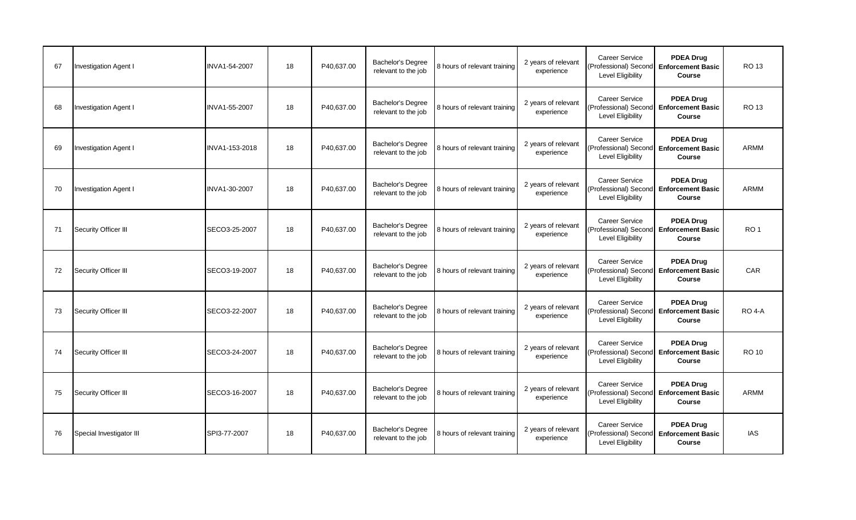| 67 | <b>Investigation Agent I</b> | INVA1-54-2007  | 18 | P40,637.00 | <b>Bachelor's Degree</b><br>relevant to the job | 8 hours of relevant training | 2 years of relevant<br>experience | Career Service<br>(Professional) Second Enforcement Basic<br><b>Level Eligibility</b> | <b>PDEA Drug</b><br>Course                             | <b>RO 13</b>    |
|----|------------------------------|----------------|----|------------|-------------------------------------------------|------------------------------|-----------------------------------|---------------------------------------------------------------------------------------|--------------------------------------------------------|-----------------|
| 68 | <b>Investigation Agent I</b> | INVA1-55-2007  | 18 | P40,637.00 | <b>Bachelor's Degree</b><br>relevant to the job | 8 hours of relevant training | 2 years of relevant<br>experience | <b>Career Service</b><br>(Professional) Second<br>Level Eligibility                   | <b>PDEA Drug</b><br><b>Enforcement Basic</b><br>Course | RO 13           |
| 69 | <b>Investigation Agent I</b> | INVA1-153-2018 | 18 | P40,637.00 | Bachelor's Degree<br>relevant to the job        | 8 hours of relevant training | 2 years of relevant<br>experience | <b>Career Service</b><br>(Professional) Second Enforcement Basic<br>Level Eligibility | <b>PDEA Drug</b><br>Course                             | <b>ARMM</b>     |
| 70 | <b>Investigation Agent I</b> | INVA1-30-2007  | 18 | P40,637.00 | <b>Bachelor's Degree</b><br>relevant to the job | 8 hours of relevant training | 2 years of relevant<br>experience | <b>Career Service</b><br>(Professional) Second<br>Level Eligibility                   | <b>PDEA Drug</b><br><b>Enforcement Basic</b><br>Course | <b>ARMM</b>     |
| 71 | Security Officer III         | SECO3-25-2007  | 18 | P40,637.00 | Bachelor's Degree<br>relevant to the job        | 8 hours of relevant training | 2 years of relevant<br>experience | Career Service<br>(Professional) Second Enforcement Basic<br><b>Level Eligibility</b> | <b>PDEA Drug</b><br>Course                             | RO <sub>1</sub> |
| 72 | Security Officer III         | SECO3-19-2007  | 18 | P40.637.00 | Bachelor's Degree<br>relevant to the job        | 8 hours of relevant training | 2 years of relevant<br>experience | <b>Career Service</b><br>(Professional) Second<br>Level Eligibility                   | <b>PDEA Drug</b><br><b>Enforcement Basic</b><br>Course | CAR             |
| 73 | Security Officer III         | SECO3-22-2007  | 18 | P40.637.00 | Bachelor's Degree<br>relevant to the job        | 8 hours of relevant training | 2 years of relevant<br>experience | Career Service<br>(Professional) Second Enforcement Basic<br>Level Eligibility        | <b>PDEA Drug</b><br>Course                             | <b>RO 4-A</b>   |
| 74 | Security Officer III         | SECO3-24-2007  | 18 | P40.637.00 | <b>Bachelor's Degree</b><br>relevant to the job | 8 hours of relevant training | 2 years of relevant<br>experience | Career Service<br>(Professional) Second Enforcement Basic<br>Level Eligibility        | <b>PDEA Drug</b><br>Course                             | <b>RO 10</b>    |
| 75 | Security Officer III         | SECO3-16-2007  | 18 | P40,637.00 | Bachelor's Degree<br>relevant to the job        | 8 hours of relevant training | 2 years of relevant<br>experience | <b>Career Service</b><br>(Professional) Second<br><b>Level Eligibility</b>            | <b>PDEA Drug</b><br><b>Enforcement Basic</b><br>Course | <b>ARMM</b>     |
| 76 | Special Investigator III     | SPI3-77-2007   | 18 | P40.637.00 | <b>Bachelor's Degree</b><br>relevant to the job | 8 hours of relevant training | 2 years of relevant<br>experience | <b>Career Service</b><br>(Professional) Second<br>Level Eligibility                   | <b>PDEA Drug</b><br><b>Enforcement Basic</b><br>Course | <b>IAS</b>      |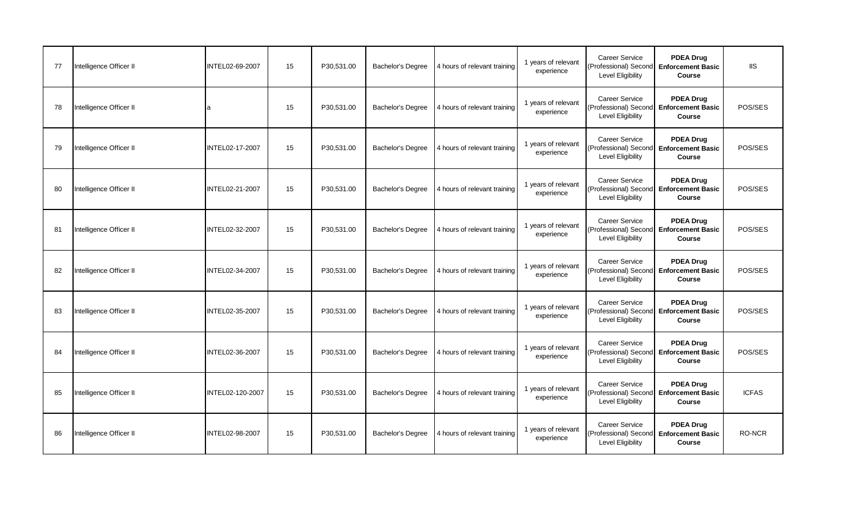| 77 | Intelligence Officer II | INTEL02-69-2007  | 15 | P30,531.00 | Bachelor's Degree        | 4 hours of relevant training | 1 years of relevant<br>experience | <b>Career Service</b><br>(Professional) Second Enforcement Basic<br><b>Level Eligibility</b> | <b>PDEA Drug</b><br>Course                             | <b>IIS</b>   |
|----|-------------------------|------------------|----|------------|--------------------------|------------------------------|-----------------------------------|----------------------------------------------------------------------------------------------|--------------------------------------------------------|--------------|
| 78 | Intelligence Officer II |                  | 15 | P30.531.00 | <b>Bachelor's Degree</b> | 4 hours of relevant training | 1 years of relevant<br>experience | Career Service<br>(Professional) Second<br>Level Eligibility                                 | <b>PDEA Drug</b><br><b>Enforcement Basic</b><br>Course | POS/SES      |
| 79 | Intelligence Officer II | INTEL02-17-2007  | 15 | P30,531.00 | <b>Bachelor's Degree</b> | 4 hours of relevant training | 1 years of relevant<br>experience | <b>Career Service</b><br>(Professional) Second Enforcement Basic<br>Level Eligibility        | <b>PDEA Drug</b><br>Course                             | POS/SES      |
| 80 | Intelligence Officer II | INTEL02-21-2007  | 15 | P30,531.00 | <b>Bachelor's Degree</b> | 4 hours of relevant training | 1 years of relevant<br>experience | <b>Career Service</b><br>(Professional) Second<br>Level Eligibility                          | <b>PDEA Drug</b><br><b>Enforcement Basic</b><br>Course | POS/SES      |
| 81 | Intelligence Officer II | INTEL02-32-2007  | 15 | P30,531.00 | Bachelor's Degree        | 4 hours of relevant training | 1 years of relevant<br>experience | Career Service<br>(Professional) Second Enforcement Basic<br><b>Level Eligibility</b>        | <b>PDEA Drug</b><br>Course                             | POS/SES      |
| 82 | Intelligence Officer II | INTEL02-34-2007  | 15 | P30.531.00 | <b>Bachelor's Degree</b> | 4 hours of relevant training | 1 years of relevant<br>experience | <b>Career Service</b><br>(Professional) Second<br>Level Eligibility                          | <b>PDEA Drug</b><br><b>Enforcement Basic</b><br>Course | POS/SES      |
| 83 | Intelligence Officer II | INTEL02-35-2007  | 15 | P30.531.00 | <b>Bachelor's Degree</b> | 4 hours of relevant training | 1 years of relevant<br>experience | <b>Career Service</b><br>(Professional) Second Enforcement Basic<br><b>Level Eligibility</b> | <b>PDEA Drug</b><br>Course                             | POS/SES      |
| 84 | Intelligence Officer II | INTEL02-36-2007  | 15 | P30,531.00 | <b>Bachelor's Degree</b> | 4 hours of relevant training | 1 years of relevant<br>experience | Career Service<br>(Professional) Second Enforcement Basic<br><b>Level Eligibility</b>        | <b>PDEA Drua</b><br>Course                             | POS/SES      |
| 85 | Intelligence Officer II | INTEL02-120-2007 | 15 | P30,531.00 | <b>Bachelor's Degree</b> | 4 hours of relevant training | 1 years of relevant<br>experience | <b>Career Service</b><br>(Professional) Second<br>Level Eligibility                          | <b>PDEA Drug</b><br><b>Enforcement Basic</b><br>Course | <b>ICFAS</b> |
| 86 | Intelligence Officer II | INTEL02-98-2007  | 15 | P30.531.00 | <b>Bachelor's Degree</b> | 4 hours of relevant training | 1 years of relevant<br>experience | <b>Career Service</b><br>(Professional) Second<br>Level Eligibility                          | <b>PDEA Drug</b><br><b>Enforcement Basic</b><br>Course | RO-NCR       |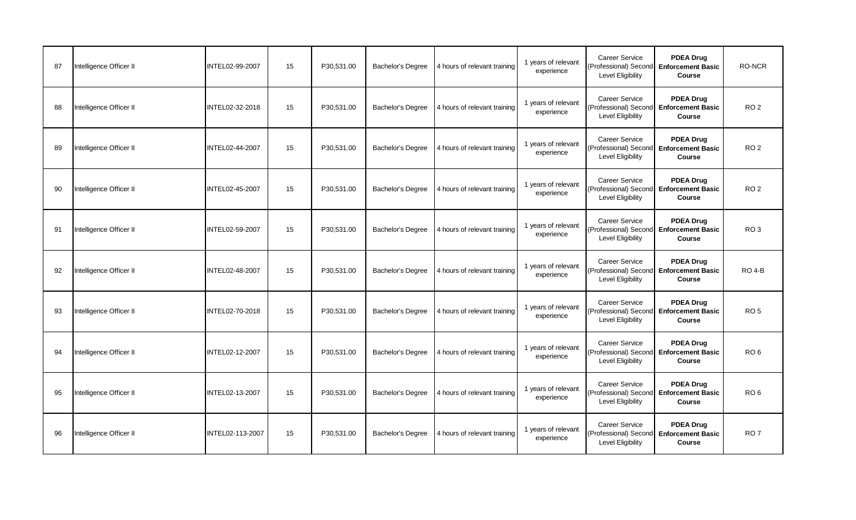| 87 | Intelligence Officer II | INTEL02-99-2007        | 15 | P30.531.00 | Bachelor's Degree        | 4 hours of relevant training | 1 years of relevant<br>experience | <b>Career Service</b><br>(Professional) Second Enforcement Basic<br>Level Eligibility | <b>PDEA Drug</b><br>Course                                            | RO-NCR          |
|----|-------------------------|------------------------|----|------------|--------------------------|------------------------------|-----------------------------------|---------------------------------------------------------------------------------------|-----------------------------------------------------------------------|-----------------|
| 88 | Intelligence Officer II | INTEL02-32-2018        | 15 | P30.531.00 | <b>Bachelor's Degree</b> | 4 hours of relevant training | 1 years of relevant<br>experience | <b>Career Service</b><br>(Professional) Second Enforcement Basic<br>Level Eligibility | <b>PDEA Drug</b><br>Course                                            | RO <sub>2</sub> |
| 89 | Intelligence Officer II | INTEL02-44-2007        | 15 | P30,531.00 | <b>Bachelor's Degree</b> | 4 hours of relevant training | 1 years of relevant<br>experience | <b>Career Service</b><br>(Professional) Second Enforcement Basic<br>Level Eligibility | <b>PDEA Drug</b><br>Course                                            | RO <sub>2</sub> |
| 90 | Intelligence Officer II | INTEL02-45-2007        | 15 | P30,531.00 | <b>Bachelor's Degree</b> | 4 hours of relevant training | 1 years of relevant<br>experience | <b>Career Service</b><br>Level Eligibility                                            | <b>PDEA Drug</b><br>(Professional) Second Enforcement Basic<br>Course | RO <sub>2</sub> |
| 91 | Intelligence Officer II | <b>INTEL02-59-2007</b> | 15 | P30.531.00 | Bachelor's Degree        | 4 hours of relevant training | 1 years of relevant<br>experience | <b>Career Service</b><br>(Professional) Second Enforcement Basic<br>Level Eligibility | <b>PDEA Drug</b><br>Course                                            | RO <sub>3</sub> |
| 92 | Intelligence Officer II | INTEL02-48-2007        | 15 | P30.531.00 | <b>Bachelor's Degree</b> | 4 hours of relevant training | 1 years of relevant<br>experience | <b>Career Service</b><br>Level Eligibility                                            | <b>PDEA Drug</b><br>(Professional) Second Enforcement Basic<br>Course | <b>RO 4-B</b>   |
| 93 | Intelligence Officer II | INTEL02-70-2018        | 15 | P30,531.00 | Bachelor's Degree        | 4 hours of relevant training | 1 years of relevant<br>experience | Career Service<br>(Professional) Second Enforcement Basic<br>Level Eligibility        | <b>PDEA Drug</b><br>Course                                            | RO <sub>5</sub> |
| 94 | Intelligence Officer II | INTEL02-12-2007        | 15 | P30,531.00 | <b>Bachelor's Degree</b> | 4 hours of relevant training | 1 years of relevant<br>experience | Career Service<br>(Professional) Second Enforcement Basic<br>Level Eligibility        | <b>PDEA Drug</b><br>Course                                            | RO <sub>6</sub> |
| 95 | Intelligence Officer II | INTEL02-13-2007        | 15 | P30,531.00 | Bachelor's Degree        | 4 hours of relevant training | 1 years of relevant<br>experience | <b>Career Service</b><br>Level Eligibility                                            | <b>PDEA Drug</b><br>Professional) Second Enforcement Basic<br>Course  | RO <sub>6</sub> |
| 96 | Intelligence Officer II | INTEL02-113-2007       | 15 | P30,531.00 | <b>Bachelor's Degree</b> | 4 hours of relevant training | 1 years of relevant<br>experience | Career Service<br>(Professional) Second Enforcement Basic<br>Level Eligibility        | <b>PDEA Drug</b><br>Course                                            | RO <sub>7</sub> |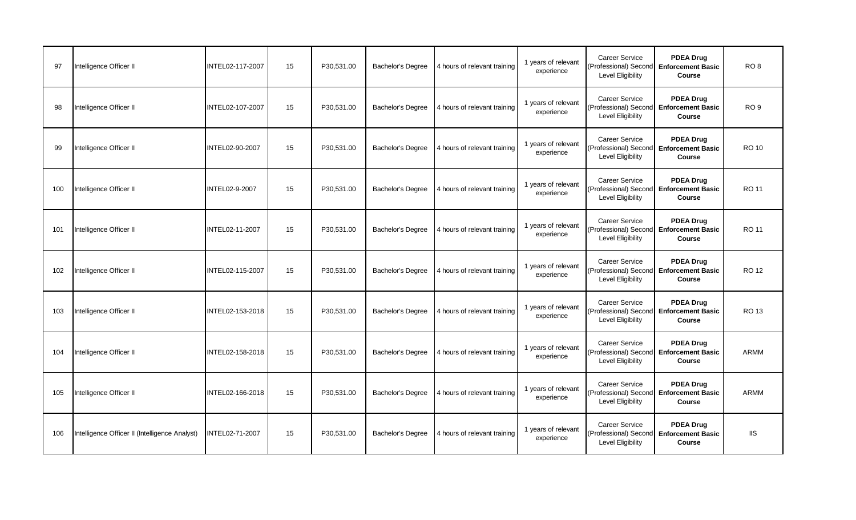| 97  | Intelligence Officer II                        | INTEL02-117-2007       | 15 | P30,531.00 | <b>Bachelor's Degree</b> | 4 hours of relevant training | 1 years of relevant<br>experience | <b>Career Service</b><br>Level Eligibility                                            | <b>PDEA Drug</b><br>(Professional) Second Enforcement Basic<br>Course | RO <sub>8</sub> |
|-----|------------------------------------------------|------------------------|----|------------|--------------------------|------------------------------|-----------------------------------|---------------------------------------------------------------------------------------|-----------------------------------------------------------------------|-----------------|
| 98  | Intelligence Officer II                        | INTEL02-107-2007       | 15 | P30.531.00 | <b>Bachelor's Degree</b> | 4 hours of relevant training | 1 years of relevant<br>experience | <b>Career Service</b><br>(Professional) Second Enforcement Basic<br>Level Eligibility | <b>PDEA Drug</b><br>Course                                            | RO <sub>9</sub> |
| 99  | Intelligence Officer II                        | INTEL02-90-2007        | 15 | P30,531.00 | <b>Bachelor's Degree</b> | 4 hours of relevant training | 1 years of relevant<br>experience | <b>Career Service</b><br>(Professional) Second Enforcement Basic<br>Level Eligibility | <b>PDEA Drug</b><br>Course                                            | <b>RO 10</b>    |
| 100 | Intelligence Officer II                        | INTEL02-9-2007         | 15 | P30,531.00 | <b>Bachelor's Degree</b> | 4 hours of relevant training | 1 years of relevant<br>experience | <b>Career Service</b><br>Level Eligibility                                            | <b>PDEA Drug</b><br>(Professional) Second Enforcement Basic<br>Course | RO 11           |
| 101 | Intelligence Officer II                        | <b>INTEL02-11-2007</b> | 15 | P30.531.00 | Bachelor's Degree        | 4 hours of relevant training | 1 years of relevant<br>experience | <b>Career Service</b><br>(Professional) Second Enforcement Basic<br>Level Eligibility | <b>PDEA Drug</b><br>Course                                            | RO 11           |
| 102 | Intelligence Officer II                        | INTEL02-115-2007       | 15 | P30.531.00 | <b>Bachelor's Degree</b> | 4 hours of relevant training | 1 years of relevant<br>experience | <b>Career Service</b><br>Level Eligibility                                            | <b>PDEA Drug</b><br>(Professional) Second Enforcement Basic<br>Course | RO 12           |
| 103 | Intelligence Officer II                        | INTEL02-153-2018       | 15 | P30,531.00 | Bachelor's Degree        | 4 hours of relevant training | 1 years of relevant<br>experience | Career Service<br>(Professional) Second Enforcement Basic<br>Level Eligibility        | <b>PDEA Drug</b><br>Course                                            | RO 13           |
| 104 | Intelligence Officer II                        | INTEL02-158-2018       | 15 | P30,531.00 | <b>Bachelor's Degree</b> | 4 hours of relevant training | 1 years of relevant<br>experience | Career Service<br>(Professional) Second Enforcement Basic<br>Level Eligibility        | <b>PDEA Drug</b><br>Course                                            | ARMM            |
| 105 | Intelligence Officer II                        | INTEL02-166-2018       | 15 | P30,531.00 | Bachelor's Degree        | 4 hours of relevant training | 1 years of relevant<br>experience | <b>Career Service</b><br>Level Eligibility                                            | <b>PDEA Drug</b><br>Professional) Second Enforcement Basic<br>Course  | ARMM            |
| 106 | Intelligence Officer II (Intelligence Analyst) | INTEL02-71-2007        | 15 | P30,531.00 | <b>Bachelor's Degree</b> | 4 hours of relevant training | 1 years of relevant<br>experience | <b>Career Service</b><br>(Professional) Second Enforcement Basic<br>Level Eligibility | <b>PDEA Drug</b><br>Course                                            | <b>IIS</b>      |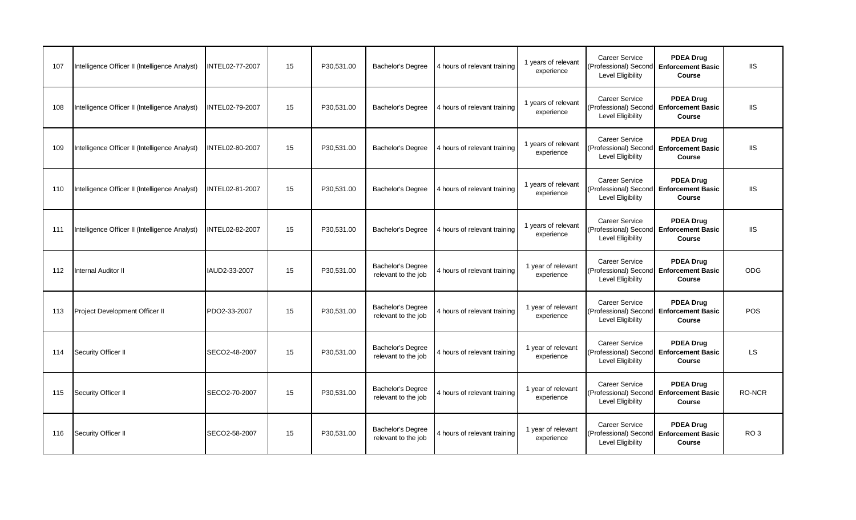| 107 | Intelligence Officer II (Intelligence Analyst) | INTEL02-77-2007 | 15 | P30,531.00 | Bachelor's Degree                               | 4 hours of relevant training | 1 years of relevant<br>experience | <b>Career Service</b><br>Level Eligibility                                            | <b>PDEA Drug</b><br>(Professional) Second Enforcement Basic<br>Course       | <b>IIS</b>      |
|-----|------------------------------------------------|-----------------|----|------------|-------------------------------------------------|------------------------------|-----------------------------------|---------------------------------------------------------------------------------------|-----------------------------------------------------------------------------|-----------------|
| 108 | Intelligence Officer II (Intelligence Analyst) | INTEL02-79-2007 | 15 | P30.531.00 | <b>Bachelor's Degree</b>                        | 4 hours of relevant training | 1 years of relevant<br>experience | <b>Career Service</b><br>Level Eligibility                                            | <b>PDEA Drug</b><br>(Professional) Second Enforcement Basic<br>Course       | <b>IIS</b>      |
| 109 | Intelligence Officer II (Intelligence Analyst) | INTEL02-80-2007 | 15 | P30,531.00 | <b>Bachelor's Degree</b>                        | 4 hours of relevant training | 1 years of relevant<br>experience | <b>Career Service</b><br>(Professional) Second<br>Level Eligibility                   | <b>PDEA Drug</b><br><b>Enforcement Basic</b><br>Course                      | <b>IIS</b>      |
| 110 | Intelligence Officer II (Intelligence Analyst) | INTEL02-81-2007 | 15 | P30,531.00 | <b>Bachelor's Degree</b>                        | 4 hours of relevant training | 1 years of relevant<br>experience | <b>Career Service</b><br>Level Eligibility                                            | <b>PDEA Drug</b><br>Professional) Second Enforcement Basic<br><b>Course</b> | <b>IIS</b>      |
| 111 | Intelligence Officer II (Intelligence Analyst) | INTEL02-82-2007 | 15 | P30.531.00 | <b>Bachelor's Degree</b>                        | 4 hours of relevant training | 1 years of relevant<br>experience | <b>Career Service</b><br>(Professional) Second Enforcement Basic<br>Level Eligibility | <b>PDEA Drug</b><br>Course                                                  | <b>IIS</b>      |
| 112 | Internal Auditor II                            | IAUD2-33-2007   | 15 | P30.531.00 | Bachelor's Degree<br>relevant to the job        | 4 hours of relevant training | 1 year of relevant<br>experience  | <b>Career Service</b><br>(Professional) Second<br>Level Eligibility                   | <b>PDEA Drug</b><br><b>Enforcement Basic</b><br>Course                      | <b>ODG</b>      |
| 113 | Project Development Officer II                 | PDO2-33-2007    | 15 | P30,531.00 | Bachelor's Degree<br>relevant to the job        | 4 hours of relevant training | 1 year of relevant<br>experience  | <b>Career Service</b><br>Level Eligibility                                            | <b>PDEA Drug</b><br>(Professional) Second Enforcement Basic<br>Course       | <b>POS</b>      |
| 114 | Security Officer II                            | SECO2-48-2007   | 15 | P30,531.00 | <b>Bachelor's Degree</b><br>relevant to the job | 4 hours of relevant training | 1 year of relevant<br>experience  | <b>Career Service</b><br>Level Eligibility                                            | <b>PDEA Drug</b><br>(Professional) Second Enforcement Basic<br>Course       | <b>LS</b>       |
| 115 | Security Officer II                            | SECO2-70-2007   | 15 | P30,531.00 | Bachelor's Degree<br>relevant to the job        | 4 hours of relevant training | 1 year of relevant<br>experience  | <b>Career Service</b><br>Level Eligibility                                            | <b>PDEA Drug</b><br>Professional) Second Enforcement Basic<br>Course        | RO-NCR          |
| 116 | Security Officer II                            | SECO2-58-2007   | 15 | P30,531.00 | Bachelor's Degree<br>relevant to the job        | 4 hours of relevant training | 1 year of relevant<br>experience  | <b>Career Service</b><br>Level Eligibility                                            | <b>PDEA Drug</b><br>(Professional) Second Enforcement Basic<br>Course       | RO <sub>3</sub> |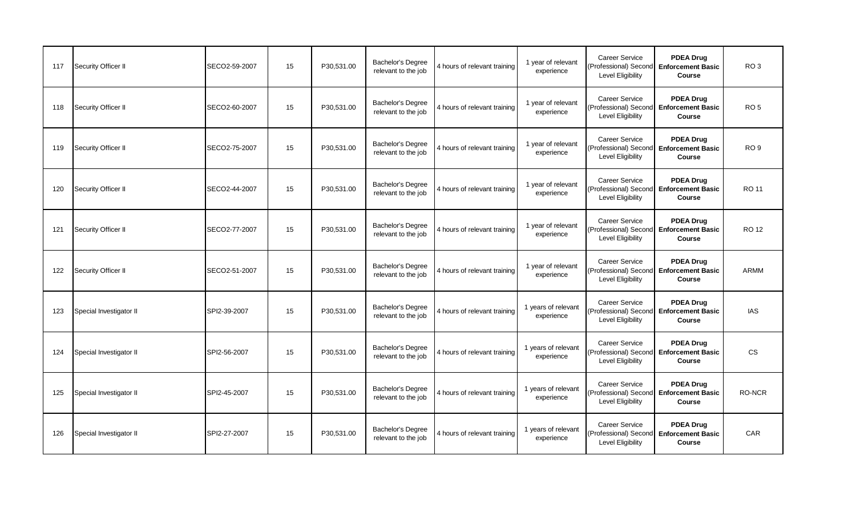| 117 | Security Officer II     | SECO2-59-2007 | 15 | P30,531.00 | Bachelor's Degree<br>relevant to the job        | 4 hours of relevant training | 1 year of relevant<br>experience  | <b>Career Service</b><br>(Professional) Second Enforcement Basic<br>Level Eligibility        | <b>PDEA Drug</b><br>Course                                    | RO <sub>3</sub> |
|-----|-------------------------|---------------|----|------------|-------------------------------------------------|------------------------------|-----------------------------------|----------------------------------------------------------------------------------------------|---------------------------------------------------------------|-----------------|
| 118 | Security Officer II     | SECO2-60-2007 | 15 | P30.531.00 | <b>Bachelor's Degree</b><br>relevant to the job | 4 hours of relevant training | 1 year of relevant<br>experience  | <b>Career Service</b><br>(Professional) Second<br><b>Level Eligibility</b>                   | <b>PDEA Drug</b><br><b>Enforcement Basic</b><br>Course        | RO <sub>5</sub> |
| 119 | Security Officer II     | SECO2-75-2007 | 15 | P30,531.00 | <b>Bachelor's Degree</b><br>relevant to the job | 4 hours of relevant training | 1 year of relevant<br>experience  | <b>Career Service</b><br>(Professional) Second Enforcement Basic<br><b>Level Eligibility</b> | <b>PDEA Drug</b><br>Course                                    | RO <sub>9</sub> |
| 120 | Security Officer II     | SECO2-44-2007 | 15 | P30,531.00 | <b>Bachelor's Degree</b><br>relevant to the job | 4 hours of relevant training | 1 year of relevant<br>experience  | Career Service<br>(Professional) Second Enforcement Basic<br>Level Eligibility               | <b>PDEA Drug</b><br>Course                                    | RO 11           |
| 121 | Security Officer II     | SECO2-77-2007 | 15 | P30,531.00 | Bachelor's Degree<br>relevant to the job        | 4 hours of relevant training | 1 year of relevant<br>experience  | Career Service<br>(Professional) Second Enforcement Basic<br><b>Level Eligibility</b>        | <b>PDEA Drug</b><br>Course                                    | <b>RO 12</b>    |
| 122 | Security Officer II     | SECO2-51-2007 | 15 | P30.531.00 | <b>Bachelor's Degree</b><br>relevant to the job | 4 hours of relevant training | 1 year of relevant<br>experience  | <b>Career Service</b><br>(Professional) Second<br>Level Eligibility                          | <b>PDEA Drug</b><br><b>Enforcement Basic</b><br><b>Course</b> | <b>ARMM</b>     |
| 123 | Special Investigator II | SPI2-39-2007  | 15 | P30,531.00 | Bachelor's Degree<br>relevant to the job        | 4 hours of relevant training | 1 years of relevant<br>experience | Career Service<br>(Professional) Second Enforcement Basic<br>Level Eligibility               | <b>PDEA Drug</b><br>Course                                    | <b>IAS</b>      |
| 124 | Special Investigator II | SPI2-56-2007  | 15 | P30.531.00 | <b>Bachelor's Degree</b><br>relevant to the job | 4 hours of relevant training | 1 years of relevant<br>experience | <b>Career Service</b><br>(Professional) Second Enforcement Basic<br>Level Eligibility        | <b>PDEA Drug</b><br>Course                                    | CS.             |
| 125 | Special Investigator II | SPI2-45-2007  | 15 | P30.531.00 | Bachelor's Degree<br>relevant to the job        | 4 hours of relevant training | 1 years of relevant<br>experience | Career Service<br>(Professional) Second Enforcement Basic<br><b>Level Eligibility</b>        | <b>PDEA Drug</b><br>Course                                    | RO-NCR          |
| 126 | Special Investigator II | SPI2-27-2007  | 15 | P30,531.00 | <b>Bachelor's Degree</b><br>relevant to the job | 4 hours of relevant training | 1 years of relevant<br>experience | <b>Career Service</b><br>(Professional) Second<br>Level Eligibility                          | <b>PDEA Drug</b><br><b>Enforcement Basic</b><br>Course        | CAR             |